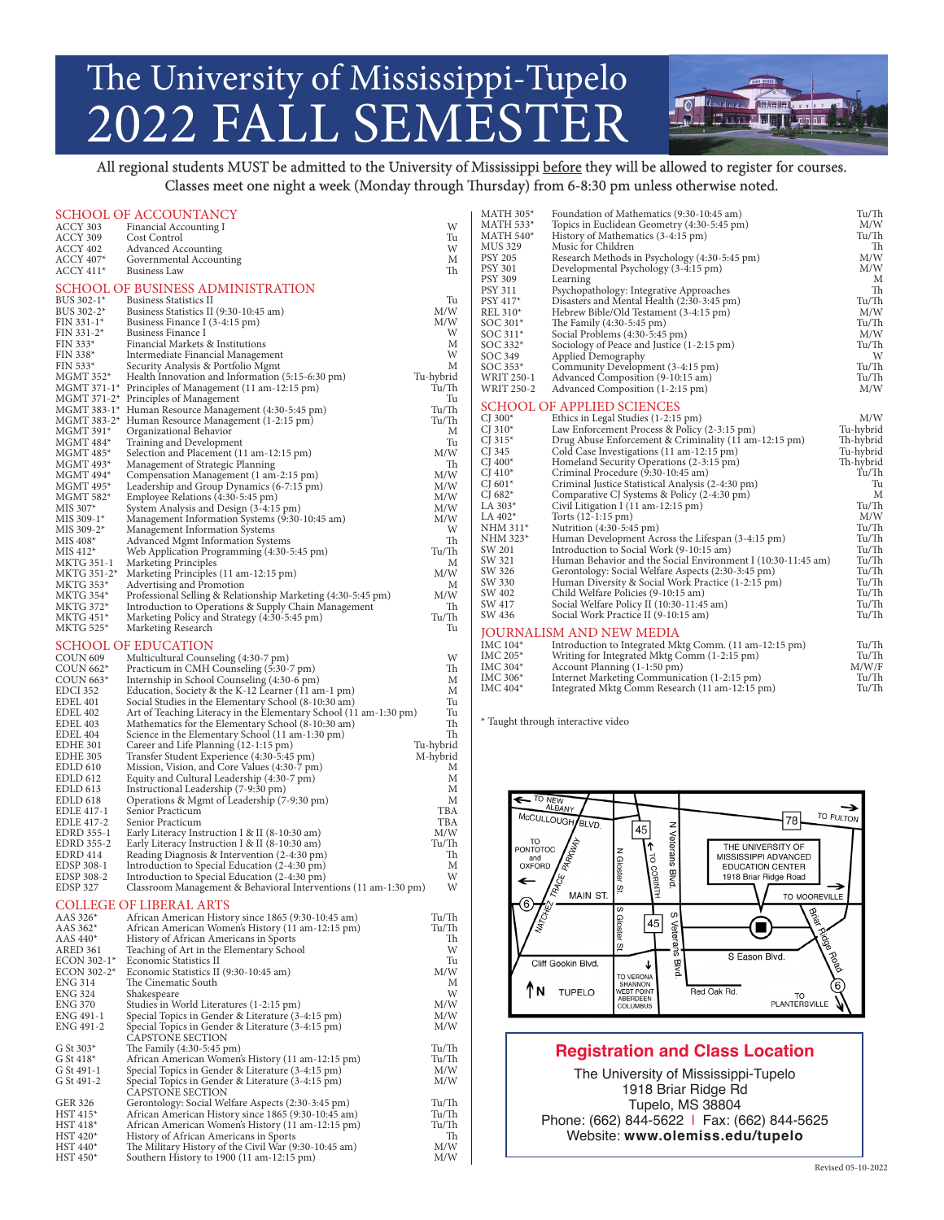## The University of Mississippi-Tupelo 2022 FALL SEMESTER

All regional students MUST be admitted to the University of Mississippi before they will be allowed to register for courses. Classes meet one night a week (Monday through Thursday) from 6-8:30 pm unless otherwise noted.

**LO BELLEVILLE DE LA CALIFORNIA DE LA CALIFORNIA DE LA CALIFORNIA DE LA CALIFORNIA DE LA CALIFORNIA DE LA CALIF** <u> julia wa mai hiji kwa m</u>

|                        | SCHOOL OF ACCOUNTANCY                                                                              |            | <b>MATH 305*</b><br>Foundation of Mathematics (9:30-10:45 am)          | Tu/Th     |
|------------------------|----------------------------------------------------------------------------------------------------|------------|------------------------------------------------------------------------|-----------|
| ACCY 303               | Financial Accounting I                                                                             | W          | <b>MATH 533*</b><br>Topics in Euclidean Geometry (4:30-5:45 pm)        | M/W       |
| ACCY 309               | Cost Control                                                                                       | Tu         | <b>MATH 540*</b><br>History of Mathematics (3-4:15 pm)                 | Tu/Th     |
| ACCY 402               | <b>Advanced Accounting</b>                                                                         | W          | <b>MUS 329</b><br>Music for Children                                   | Th        |
| <b>ACCY 407*</b>       | Governmental Accounting                                                                            | М          | PSY 205<br>Research Methods in Psychology (4:30-5:45 pm)               | M/W       |
| $ACCY 411*$            | Business Law                                                                                       | Th         | <b>PSY 301</b><br>Developmental Psychology (3-4:15 pm)                 | M/W       |
|                        |                                                                                                    |            | <b>PSY 309</b><br>Learning                                             | M         |
|                        | SCHOOL OF BUSINESS ADMINISTRATION                                                                  |            | PSY 311<br>Psychopathology: Integrative Approaches                     | Th        |
| BUS 302-1*             | <b>Business Statistics II</b>                                                                      | Tu         | PSY 417*<br>Disasters and Mental Health (2:30-3:45 pm)                 | Tu/Th     |
| BUS 302-2*             | Business Statistics II (9:30-10:45 am)                                                             | M/W        | REL 310*<br>Hebrew Bible/Old Testament (3-4:15 pm)                     | M/W       |
| $FIN 331-1*$           | Business Finance I (3-4:15 pm)                                                                     | M/W        | SOC 301*<br>The Family (4:30-5:45 pm)                                  | Tu/Th     |
| $FIN 331-2*$           | Business Finance I                                                                                 | W          | SOC 311*<br>Social Problems (4:30-5:45 pm)                             | M/W       |
| $FIN 333*$             | Financial Markets & Institutions                                                                   | M          | SOC 332*<br>Sociology of Peace and Justice (1-2:15 pm)                 | Tu/Th     |
| FIN 338*               | Intermediate Financial Management                                                                  | W          | SOC 349<br>Applied Demography                                          | W         |
| FIN 533*               | Security Analysis & Portfolio Mgmt                                                                 | M          | SOC 353*<br>Community Development (3-4:15 pm)                          | Tu/Th     |
| MGMT 352*              |                                                                                                    | Tu-hybrid  |                                                                        |           |
|                        | Health Innovation and Information (5:15-6:30 pm)                                                   | Tu/Th      | WRIT 250-1<br>Advanced Composition (9-10:15 am)                        | Tu/Th     |
|                        | MGMT 371-1* Principles of Management (11 am-12:15 pm)                                              |            | <b>WRIT 250-2</b><br>Advanced Composition (1-2:15 pm)                  | M/W       |
|                        | MGMT 371-2* Principles of Management                                                               | Tu         | <b>SCHOOL OF APPLIED SCIENCES</b>                                      |           |
|                        | MGMT 383-1* Human Resource Management (4:30-5:45 pm)                                               | Tu/Th      | CJ $300*$<br>Ethics in Legal Studies (1-2:15 pm)                       | M/W       |
|                        | MGMT 383-2* Human Resource Management (1-2:15 pm)                                                  | Tu/Th      | CJ $310*$<br>Law Enforcement Process & Policy (2-3:15 pm)              | Tu-hybrid |
| MGMT 391*              | Organizational Behavior                                                                            | M          | CJ 315 $*$<br>Drug Abuse Enforcement & Criminality (11 am-12:15 pm)    | Th-hybrid |
| $MGMT 484*$            | Training and Development                                                                           | Tu         | CJ 345                                                                 | Tu-hybrid |
| MGMT 485*              | Selection and Placement (11 am-12:15 pm)                                                           | M/W        | Cold Case Investigations (11 am-12:15 pm)                              |           |
| MGMT 493*              | Management of Strategic Planning                                                                   | Th         | CJ $400*$<br>Homeland Security Operations (2-3:15 pm)                  | Th-hybrid |
| MGMT 494*              | Compensation Management (1 am-2:15 pm)                                                             | M/W        | CJ $410*$<br>Criminal Procedure (9:30-10:45 am)                        | Tu/Th     |
| MGMT 495*              | Leadership and Group Dynamics (6-7:15 pm)                                                          | M/W        | CJ $601*$<br>Criminal Justice Statistical Analysis (2-4:30 pm)         | Tu        |
| MGMT 582*              | Employee Relations (4:30-5:45 pm)                                                                  | M/W        | CJ 682 $*$<br>Comparative CJ Systems & Policy (2-4:30 pm)              | M         |
| MIS 307*               | System Analysis and Design (3-4:15 pm)                                                             | M/W        | LA 303*<br>Civil Litigation I (11 am-12:15 pm)                         | Tu/Th     |
| MIS 309-1*             | Management Information Systems (9:30-10:45 am)                                                     | M/W        | LA $402*$<br>Torts (12-1:15 pm)                                        | M/W       |
| MIS 309-2*             | Management Information Systems                                                                     | W          | NHM 311*<br>Nutrition (4:30-5:45 pm)                                   | Tu/Th     |
| MIS 408*               | Advanced Mgmt Information Systems                                                                  | Th         | NHM 323*<br>Human Development Across the Lifespan (3-4:15 pm)          | Tu/Th     |
| $MIS 412*$             | Web Application Programming (4:30-5:45 pm)                                                         | Tu/Th      | SW 201<br>Introduction to Social Work (9-10:15 am)                     | Tu/Th     |
|                        |                                                                                                    | M          | SW 321<br>Human Behavior and the Social Environment I (10:30-11:45 am) | Tu/Th     |
| MKTG 351-1             | Marketing Principles                                                                               |            | SW 326<br>Gerontology: Social Welfare Aspects (2:30-3:45 pm)           | Tu/Th     |
| MKTG 351-2*            | Marketing Principles (11 am-12:15 pm)                                                              | M/W        | SW 330                                                                 | Tu/Th     |
| MKTG 353*              | Advertising and Promotion                                                                          | M          | Human Diversity & Social Work Practice (1-2:15 pm)                     |           |
| MKTG 354*              | Professional Selling & Relationship Marketing (4:30-5:45 pm)                                       | M/W        | SW 402<br>Child Welfare Policies (9-10:15 am)                          | Tu/Th     |
| MKTG 372*              | Introduction to Operations & Supply Chain Management                                               | Th         | SW 417<br>Social Welfare Policy II (10:30-11:45 am)                    | Tu/Th     |
| MKTG 451*              | Marketing Policy and Strategy (4:30-5:45 pm)                                                       | Tu/Th      | SW 436<br>Social Work Practice II (9-10:15 am)                         | Tu/Th     |
| <b>MKTG 525*</b>       | Marketing Research                                                                                 | Tu         |                                                                        |           |
|                        |                                                                                                    |            | JOURNALISM AND NEW MEDIA                                               |           |
|                        | <b>SCHOOL OF EDUCATION</b>                                                                         |            | IMC 104*<br>Introduction to Integrated Mktg Comm. (11 am-12:15 pm)     | Tu/Th     |
| COUN <sub>609</sub>    | Multicultural Counseling (4:30-7 pm)                                                               | W          | IMC 205*<br>Writing for Integrated Mktg Comm (1-2:15 pm)               | Tu/Th     |
| COUN 662*              | Practicum in CMH Counseling (5:30-7 pm)                                                            | Th         | IMC 304*<br>Account Planning (1-1:50 pm)                               | M/W/F     |
| COUN $663*$            | Internship in School Counseling (4:30-6 pm)                                                        | M          | IMC 306*<br>Internet Marketing Communication (1-2:15 pm)               | Tu/Th     |
| EDCI 352               | Education, Society & the K-12 Learner (11 am-1 pm)                                                 | M          | IMC 404*<br>Integrated Mktg Comm Research (11 am-12:15 pm)             | Tu/Th     |
| <b>EDEL 401</b>        |                                                                                                    | Tu         |                                                                        |           |
|                        | Social Studies in the Elementary School (8-10:30 am)                                               |            |                                                                        |           |
|                        |                                                                                                    |            |                                                                        |           |
| <b>EDEL 402</b>        | Art of Teaching Literacy in the Elementary School (11 am-1:30 pm)                                  | Tu         |                                                                        |           |
| EDEL 403               | Mathematics for the Elementary School (8-10:30 am)                                                 | Th         | * Taught through interactive video                                     |           |
| EDEL 404               | Science in the Elementary School (11 am-1:30 pm)                                                   | Th         |                                                                        |           |
| <b>EDHE 301</b>        | Career and Life Planning (12-1:15 pm)                                                              | Tu-hybrid  |                                                                        |           |
| EDHE 305               | Transfer Student Experience (4:30-5:45 pm)                                                         | M-hybrid   |                                                                        |           |
| <b>EDLD 610</b>        |                                                                                                    | М          |                                                                        |           |
| EDLD 612               | Mission, Vision, and Core Values (4:30-7 pm)                                                       | М          |                                                                        |           |
|                        | Equity and Cultural Leadership (4:30-7 pm)                                                         | M          |                                                                        |           |
| EDLD 613               | Instructional Leadership (7-9:30 pm)                                                               |            |                                                                        |           |
| <b>EDLD 618</b>        | Operations & Mgmt of Leadership (7-9:30 pm)                                                        | M          | TO NEW<br>ALBANY                                                       | →         |
| EDLE 417-1             | Senior Practicum                                                                                   | TBA        |                                                                        |           |
| <b>EDLE 417-2</b>      | Senior Practicum                                                                                   | TBA        | <b>McCULLOUGH</b><br>78<br><b>BLVD</b><br>z                            | TO FULTON |
| EDRD 355-1             | Early Literacy Instruction I & II (8-10:30 am)                                                     | M/W        | 45                                                                     |           |
| <b>EDRD 355-2</b>      | Early Literacy Instruction I & II (8-10:30 am)                                                     | Tu/Th      | TO<br>THE UNIVERSITY OF<br>PONTOTOC                                    |           |
| EDRD 414               | Reading Diagnosis & Intervention (2-4:30 pm)                                                       | Th         | MISSISSIPPI ADVANCED<br>ಕ<br>and                                       |           |
| EDSP 308-1             | Introduction to Special Education (2-4:30 pm)                                                      | M          | OXFORD<br><b>EDUCATION CENTER</b>                                      |           |
| EDSP 308-2             | Introduction to Special Education (2-4:30 pm)                                                      | W          | 1918 Briar Ridge Road                                                  |           |
| EDSP 327               | Classroom Management & Behavioral Interventions (11 am-1:30 pm)                                    | W          | Veterans Blvd.<br>N Gloster St<br>CORNIN                               | →         |
|                        |                                                                                                    |            | <b>THE REAL AND STRAIGHT</b><br>MAIN ST<br>TO MOOREVILLE               |           |
|                        | <b>COLLEGE OF LIBERAL ARTS</b>                                                                     |            | 6<br>S                                                                 |           |
| AAS 326*               | African American History since 1865 (9:30-10:45 am)                                                | Tu/Th      | S                                                                      |           |
| AAS 362*               | African American Women's History (11 am-12:15 pm)                                                  | Tu/Th      | <b>Brief</b><br>45                                                     |           |
| AAS 440*               | History of African Americans in Sports                                                             | Th         | Gloster                                                                |           |
| ARED 361               | Teaching of Art in the Elementary School                                                           | W          | Veterans<br>ഗ                                                          |           |
| ECON 302-1*            | Economic Statistics II                                                                             | Tu         | S Eason Blvd.                                                          |           |
| ECON 302-2*            |                                                                                                    | M/W        | Cliff Gookin Blvd.<br><b>Blvd</b><br>J                                 |           |
|                        | Economic Statistics II (9:30-10:45 am)                                                             |            | TO VERONA<br>SHANNON                                                   |           |
| ENG 314                | The Cinematic South                                                                                | M          | ΤN<br><b>TUPELO</b><br>Red Oak Rd.<br><b>WEST POINT</b>                |           |
| <b>ENG 324</b>         | Shakespeare                                                                                        | W          | TO                                                                     |           |
| ENG 370                | Studies in World Literatures (1-2:15 pm)                                                           | M/W        | ABERDEEN<br>COLUMBUS<br><b>PLANTERSVILLE</b>                           |           |
| ENG 491-1              | Special Topics in Gender & Literature (3-4:15 pm)                                                  | M/W        |                                                                        |           |
| ENG 491-2              | Special Topics in Gender & Literature (3-4:15 pm)                                                  | M/W        |                                                                        |           |
|                        | <b>CAPSTONE SECTION</b>                                                                            |            |                                                                        |           |
| G St 303*              | The Family (4:30-5:45 pm)                                                                          | Tu/Th      |                                                                        |           |
| G St $418*$            | African American Women's History (11 am-12:15 pm)                                                  | Tu/Th      | <b>Registration and Class Location</b>                                 |           |
| G St 491-1             | Special Topics in Gender & Literature (3-4:15 pm)                                                  | M/W        |                                                                        |           |
| G St 491-2             | Special Topics in Gender & Literature (3-4:15 pm)                                                  | M/W        | The University of Mississippi-Tupelo                                   |           |
|                        |                                                                                                    |            |                                                                        |           |
|                        | CAPSTONE SECTION                                                                                   |            | 1918 Briar Ridge Rd                                                    |           |
| GER 326                | Gerontology: Social Welfare Aspects (2:30-3:45 pm)                                                 | Tu/Th      | Tupelo, MS 38804                                                       |           |
| $HST 415*$             | African American History since 1865 (9:30-10:45 am)                                                | Tu/Th      |                                                                        |           |
| $HST 418*$             | African American Women's History (11 am-12:15 pm)                                                  | Tu/Th      | Phone: (662) 844-5622   Fax: (662) 844-5625                            |           |
| HST 420*               | History of African Americans in Sports                                                             | Th         | Website: www.olemiss.edu/tupelo                                        |           |
| HST 440*<br>$HST 450*$ | The Military History of the Civil War (9:30-10:45 am)<br>Southern History to 1900 (11 am-12:15 pm) | M/W<br>M/W |                                                                        |           |